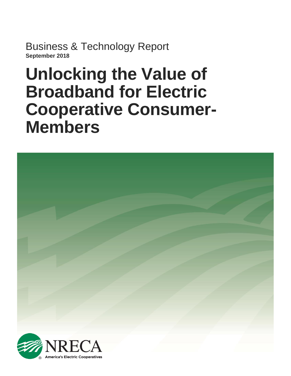Business & Technology Report **September 2018**

# **Unlocking the Value of Broadband for Electric Cooperative Consumer-Members**

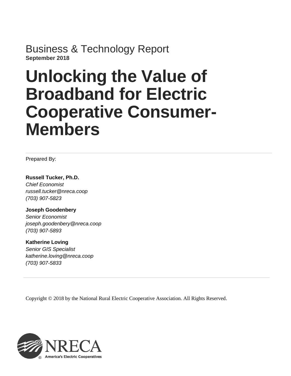Business & Technology Report **September 2018**

# **Unlocking the Value of Broadband for Electric Cooperative Consumer-Members**

Prepared By:

**Russell Tucker, Ph.D.** *Chief Economist russell.tucker@nreca.coop (703) 907-5823*

**Joseph Goodenbery**

*Senior Economist joseph.goodenbery@nreca.coop (703) 907-5893*

**Katherine Loving** *Senior GIS Specialist katherine.loving@nreca.coop (703) 907-5833*

Copyright © 2018 by the National Rural Electric Cooperative Association. All Rights Reserved.

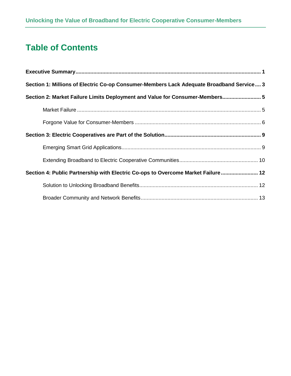# **Table of Contents**

| Section 1: Millions of Electric Co-op Consumer-Members Lack Adequate Broadband Service 3 |
|------------------------------------------------------------------------------------------|
| Section 2: Market Failure Limits Deployment and Value for Consumer-Members 5             |
|                                                                                          |
|                                                                                          |
|                                                                                          |
|                                                                                          |
|                                                                                          |
| Section 4: Public Partnership with Electric Co-ops to Overcome Market Failure 12         |
|                                                                                          |
|                                                                                          |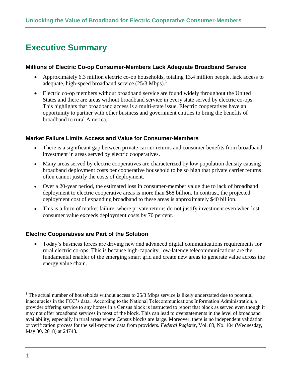# <span id="page-3-0"></span>**Executive Summary**

#### **Millions of Electric Co-op Consumer-Members Lack Adequate Broadband Service**

- Approximately 6.3 million electric co-op households, totaling 13.4 million people, lack access to adequate, high-speed broadband service  $(25/3 \text{ Mbps})$ .<sup>1</sup>
- Electric co-op members without broadband service are found widely throughout the United States and there are areas without broadband service in every state served by electric co-ops. This highlights that broadband access is a multi-state issue. Electric cooperatives have an opportunity to partner with other business and government entities to bring the benefits of broadband to rural America.

#### **Market Failure Limits Access and Value for Consumer-Members**

- There is a significant gap between private carrier returns and consumer benefits from broadband investment in areas served by electric cooperatives.
- Many areas served by electric cooperatives are characterized by low population density causing broadband deployment costs per cooperative household to be so high that private carrier returns often cannot justify the costs of deployment.
- Over a 20-year period, the estimated loss in consumer-member value due to lack of broadband deployment to electric cooperative areas is more than \$68 billion. In contrast, the projected deployment cost of expanding broadband to these areas is approximately \$40 billion.
- This is a form of market failure, where private returns do not justify investment even when lost consumer value exceeds deployment costs by 70 percent.

#### **Electric Cooperatives are Part of the Solution**

• Today's business forces are driving new and advanced digital communications requirements for rural electric co-ops. This is because high-capacity, low-latency telecommunications are the fundamental enabler of the emerging smart grid and create new areas to generate value across the energy value chain.

The actual number of households without access to 25/3 Mbps service is likely understated due to potential inaccuracies in the FCC's data. According to the National Telecommunications Information Administration, a provider offering service to any homes in a Census block is instructed to report that block as served even though it may not offer broadband services in most of the block. This can lead to overstatements in the level of broadband availability, especially in rural areas where Census blocks are large. Moreover, there is no independent validation or verification process for the self-reported data from providers. *Federal Register,* Vol. 83, No. 104 (Wednesday, May 30, 2018) at 24748.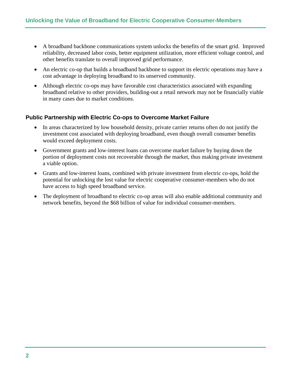- A broadband backbone communications system unlocks the benefits of the smart grid. Improved reliability, decreased labor costs, better equipment utilization, more efficient voltage control, and other benefits translate to overall improved grid performance.
- An electric co-op that builds a broadband backbone to support its electric operations may have a cost advantage in deploying broadband to its unserved community.
- Although electric co-ops may have favorable cost characteristics associated with expanding broadband relative to other providers, building-out a retail network may not be financially viable in many cases due to market conditions.

#### **Public Partnership with Electric Co-ops to Overcome Market Failure**

- In areas characterized by low household density, private carrier returns often do not justify the investment cost associated with deploying broadband, even though overall consumer benefits would exceed deployment costs.
- Government grants and low-interest loans can overcome market failure by buying down the portion of deployment costs not recoverable through the market, thus making private investment a viable option.
- Grants and low-interest loans, combined with private investment from electric co-ops, hold the potential for unlocking the lost value for electric cooperative consumer-members who do not have access to high speed broadband service.
- The deployment of broadband to electric co-op areas will also enable additional community and network benefits, beyond the \$68 billion of value for individual consumer-members.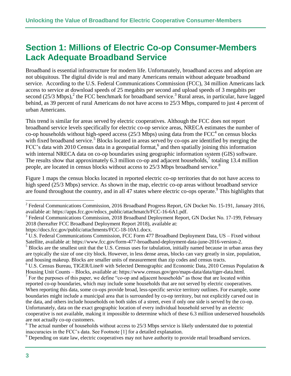# <span id="page-5-0"></span>**Section 1: Millions of Electric Co-op Consumer-Members Lack Adequate Broadband Service**

Broadband is essential infrastructure for modern life. Unfortunately, broadband access and adoption are not ubiquitous. The digital divide is real and many Americans remain without adequate broadband service. According to the U.S. Federal Communications Commission (FCC), 34 million Americans lack access to service at download speeds of 25 megabits per second and upload speeds of 3 megabits per second  $(25/3 \text{ Mbps})$ , the FCC benchmark for broadband service.<sup>3</sup> Rural areas, in particular, have lagged behind, as 39 percent of rural Americans do not have access to 25/3 Mbps, compared to just 4 percent of urban Americans.

This trend is similar for areas served by electric cooperatives. Although the FCC does not report broadband service levels specifically for electric co-op service areas, NRECA estimates the number of co-op households without high-speed access  $(25/3 \text{ Mbps})$  using data from the FCC<sup>4</sup> on census blocks with fixed broadband service.<sup>5</sup> Blocks located in areas served by co-ops are identified by merging the FCC's data with 2010 Census data in a geospatial format,<sup>6</sup> and then spatially joining this information with internal NRECA data on co-op boundaries using geographic information system (GIS) software. The results show that approximately 6.3 million co-op and adjacent households, $\frac{7}{1}$  totaling 13.4 million people, are located in census blocks without access to 25/3 Mbps broadband service.<sup>8</sup>

Figure 1 maps the census blocks located in reported electric co-op territories that do not have access to high speed (25/3 Mbps) service. As shown in the map, electric co-op areas without broadband service are found throughout the country, and in all 47 states where electric co-ops operate.<sup>9</sup> This highlights that

https://docs.fcc.gov/public/attachments/FCC-18-10A1.docx.

 $2^2$  Federal Communications Commission, 2016 Broadband Progress Report, GN Docket No. 15-191, January 2016, available at: https://apps.fcc.gov/edocs\_public/attachmatch/FCC-16-6A1.pdf.

<sup>&</sup>lt;sup>3</sup> Federal Communications Commission, 2018 Broadband Deployment Report, GN Docket No. 17-199, February 2018 (hereafter FCC Broadband Deployment Report 2018), available at:

<sup>&</sup>lt;sup>4</sup> U.S. Federal Communications Commission, FCC Form 477 Broadband Deployment Data, US – Fixed without Satellite, available at: https://www.fcc.gov/form-477-broadband-deployment-data-june-2016-version-2. <sup>5</sup> Blocks are the smallest unit that the U.S. Census uses for tabulation, initially named because in urban areas they

are typically the size of one city block. However, in less dense areas, blocks can vary greatly in size, population, and housing makeup. Blocks are smaller units of measurement than zip codes and census tracts.

<sup>&</sup>lt;sup>6</sup> U.S. Census Bureau, TIGER/Line<sup>®</sup> with Selected Demographic and Economic Data, 2010 Census Population & Housing Unit Counts – Blocks, available at: https://www.census.gov/geo/maps-data/data/tiger-data.html.

 $<sup>7</sup>$  For the purposes of this paper, we define "co-op and adjacent households" as those that are located within</sup> reported co-op boundaries, which may include some households that are not served by electric cooperatives. When reporting this data, some co-ops provide broad, less-specific service territory outlines. For example, some boundaries might include a municipal area that is surrounded by co-op territory, but not explicitly carved out in the data, and others include households on both sides of a street, even if only one side is served by the co-op. Unfortunately, data on the exact geographic location of every individual household served by an electric cooperative is not available, making it impossible to determine which of these 6.3 million underserved households are not actually co-op customers.

<sup>&</sup>lt;sup>8</sup> The actual number of households without access to 25/3 Mbps service is likely understated due to potential inaccuracies in the FCC's data. See Footnote [1] for a detailed explanation.

<sup>9</sup> Depending on state law, electric cooperatives may not have authority to provide retail broadband services.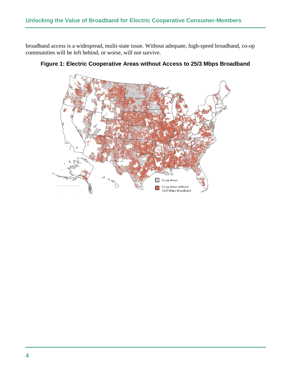broadband access is a widespread, multi-state issue. Without adequate, high-speed broadband, co-op communities will be left behind, or worse, will not survive.



**Figure 1: Electric Cooperative Areas without Access to 25/3 Mbps Broadband**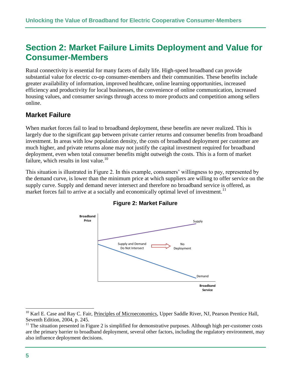# <span id="page-7-0"></span>**Section 2: Market Failure Limits Deployment and Value for Consumer-Members**

Rural connectivity is essential for many facets of daily life. High-speed broadband can provide substantial value for electric co-op consumer-members and their communities. These benefits include greater availability of information, improved healthcare, online learning opportunities, increased efficiency and productivity for local businesses, the convenience of online communication, increased housing values, and consumer savings through access to more products and competition among sellers online.

## <span id="page-7-1"></span>**Market Failure**

When market forces fail to lead to broadband deployment, these benefits are never realized. This is largely due to the significant gap between private carrier returns and consumer benefits from broadband investment. In areas with low population density, the costs of broadband deployment per customer are much higher, and private returns alone may not justify the capital investment required for broadband deployment, even when total consumer benefits might outweigh the costs. This is a form of market failure, which results in lost value.<sup>10</sup>

This situation is illustrated in Figure 2. In this example, consumers' willingness to pay, represented by the demand curve, is lower than the minimum price at which suppliers are willing to offer service on the supply curve. Supply and demand never intersect and therefore no broadband service is offered, as market forces fail to arrive at a socially and economically optimal level of investment.<sup>11</sup>





<sup>&</sup>lt;sup>10</sup> Karl E. Case and Ray C. Fair, Principles of Microeconomics, Upper Saddle River, NJ, Pearson Prentice Hall, Seventh Edition, 2004, p. 245.

 $11$  The situation presented in Figure 2 is simplified for demonstrative purposes. Although high per-customer costs are the primary barrier to broadband deployment, several other factors, including the regulatory environment, may also influence deployment decisions.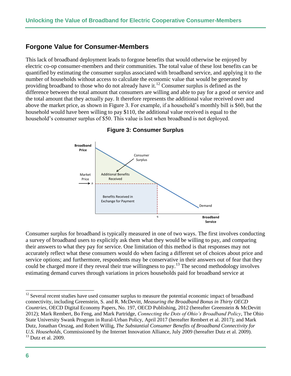### <span id="page-8-0"></span>**Forgone Value for Consumer-Members**

This lack of broadband deployment leads to forgone benefits that would otherwise be enjoyed by electric co-op consumer-members and their communities. The total value of these lost benefits can be quantified by estimating the consumer surplus associated with broadband service, and applying it to the number of households without access to calculate the economic value that would be generated by providing broadband to those who do not already have it.<sup>12</sup> Consumer surplus is defined as the difference between the total amount that consumers are willing and able to pay for a good or service and the total amount that they actually pay. It therefore represents the additional value received over and above the market price, as shown in Figure 3. For example, if a household's monthly bill is \$60, but the household would have been willing to pay \$110, the additional value received is equal to the household's consumer surplus of \$50. This value is lost when broadband is not deployed.



**Figure 3: Consumer Surplus**

Consumer surplus for broadband is typically measured in one of two ways. The first involves conducting a survey of broadband users to explicitly ask them what they would be willing to pay, and comparing their answers to what they pay for service. One limitation of this method is that responses may not accurately reflect what these consumers would do when facing a different set of choices about price and service options; and furthermore, respondents may be conservative in their answers out of fear that they could be charged more if they reveal their true willingness to pay.<sup>13</sup> The second methodology involves estimating demand curves through variations in prices households paid for broadband service at

 <sup>12</sup> Several recent studies have used consumer surplus to measure the potential economic impact of broadband connectivity, including Greenstein, S. and R. McDevitt, *Measuring the Broadband Bonus in Thirty OECD Countries*, OECD Digital Economy Papers, No. 197, OECD Publishing, 2012 (hereafter Greenstein & McDevitt 2012); Mark Rembert, Bo Feng, and Mark Partridge, *Connecting the Dots of Ohio's Broadband Policy*, The Ohio State University Swank Program in Rural-Urban Policy, April 2017 (hereafter Rembert et al. 2017); and Mark Dutz, Jonathan Orszag, and Robert Willig, *The Substantial Consumer Benefits of Broadband Connectivity for U.S. Households*, Commissioned by the Internet Innovation Alliance, July 2009 (hereafter Dutz et al. 2009).

 $13$  Dutz et al. 2009.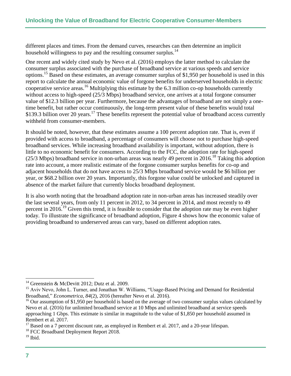different places and times. From the demand curves, researches can then determine an implicit household willingness to pay and the resulting consumer surplus.<sup>14</sup>

One recent and widely cited study by Nevo et al. (2016) employs the latter method to calculate the consumer surplus associated with the purchase of broadband service at various speeds and service options.<sup>15</sup> Based on these estimates, an average consumer surplus of \$1,950 per household is used in this report to calculate the annual economic value of forgone benefits for underserved households in electric cooperative service areas.<sup>16</sup> Multiplying this estimate by the 6.3 million co-op households currently without access to high-speed (25/3 Mbps) broadband service, one arrives at a total forgone consumer value of \$12.3 billion per year. Furthermore, because the advantages of broadband are not simply a onetime benefit, but rather occur continuously, the long-term present value of these benefits would total \$139.3 billion over 20 years.<sup>17</sup> These benefits represent the potential value of broadband access currently withheld from consumer-members.

It should be noted, however, that these estimates assume a 100 percent adoption rate. That is, even if provided with access to broadband, a percentage of consumers will choose not to purchase high-speed broadband services. While increasing broadband availability is important, without adoption, there is little to no economic benefit for consumers. According to the FCC, the adoption rate for high-speed (25/3 Mbps) broadband service in non-urban areas was nearly 49 percent in 2016.<sup>18</sup> Taking this adoption rate into account, a more realistic estimate of the forgone consumer surplus benefits for co-op and adjacent households that do not have access to 25/3 Mbps broadband service would be \$6 billion per year, or \$68.2 billion over 20 years. Importantly, this forgone value could be unlocked and captured in absence of the market failure that currently blocks broadband deployment.

It is also worth noting that the broadband adoption rate in non-urban areas has increased steadily over the last several years, from only 11 percent in 2012, to 34 percent in 2014, and most recently to 49 percent in 2016.<sup>19</sup> Given this trend, it is feasible to consider that the adoption rate may be even higher today. To illustrate the significance of broadband adoption, Figure 4 shows how the economic value of providing broadband to underserved areas can vary, based on different adoption rates.

 $14$  Greenstein & McDevitt 2012; Dutz et al. 2009.

<sup>&</sup>lt;sup>15</sup> Aviv Nevo, John L. Turner, and Jonathan W. Williams, "Usage-Based Pricing and Demand for Residential Broadband*,*" *Econometrica*, *84*(2), 2016 (hereafter Nevo et al. 2016).

 $16$  Our assumption of \$1,950 per household is based on the average of two consumer surplus values calculated by Nevo et al. (2016) for unlimited broadband service at 10 Mbps and unlimited broadband at service speeds approaching 1 Gbps. This estimate is similar in magnitude to the value of \$1,850 per household assumed in Rembert et al. 2017.

Based on a 7 percent discount rate, as employed in Rembert et al. 2017, and a 20-year lifespan.

<sup>&</sup>lt;sup>18</sup> FCC Broadband Deployment Report 2018.

 $19$  Ibid.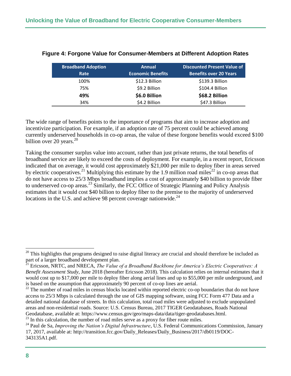| <b>Broadband Adoption</b><br>Rate | <b>Annual</b><br><b>Economic Benefits</b> | <b>Discounted Present Value of</b><br><b>Benefits over 20 Years</b> |
|-----------------------------------|-------------------------------------------|---------------------------------------------------------------------|
| 100%                              | \$12.3 Billion                            | \$139.3 Billion                                                     |
| 75%                               | \$9.2 Billion                             | \$104.4 Billion                                                     |
| 49%                               | \$6.0 Billion                             | \$68.2 Billion                                                      |
| 34%                               | \$4.2 Billion                             | \$47.3 Billion                                                      |

#### **Figure 4: Forgone Value for Consumer-Members at Different Adoption Rates**

The wide range of benefits points to the importance of programs that aim to increase adoption and incentivize participation. For example, if an adoption rate of 75 percent could be achieved among currently underserved households in co-op areas, the value of these forgone benefits would exceed \$100 billion over 20 years. $20$ 

Taking the consumer surplus value into account, rather than just private returns, the total benefits of broadband service are likely to exceed the costs of deployment. For example, in a recent report, Ericsson indicated that on average, it would cost approximately \$21,000 per mile to deploy fiber in areas served by electric cooperatives.<sup>21</sup> Multiplying this estimate by the 1.9 million road miles<sup>22</sup> in co-op areas that do not have access to 25/3 Mbps broadband implies a cost of approximately \$40 billion to provide fiber to underserved co-op areas.<sup>23</sup> Similarly, the FCC Office of Strategic Planning and Policy Analysis estimates that it would cost \$40 billion to deploy fiber to the premise to the majority of underserved locations in the U.S. and achieve 98 percent coverage nationwide.<sup>24</sup>

 $20$  This highlights that programs designed to raise digital literacy are crucial and should therefore be included as part of a larger broadband development plan.

<sup>&</sup>lt;sup>21</sup> Ericsson, NRTC, and NRECA, *The Value of a Broadband Backbone for America's Electric Cooperatives: A Benefit Assessment Study*, June 2018 (hereafter Ericsson 2018). This calculation relies on internal estimates that it would cost up to \$17,000 per mile to deploy fiber along aerial lines and up to \$55,000 per mile underground, and is based on the assumption that approximately 90 percent of co-op lines are aerial.

<sup>&</sup>lt;sup>22</sup> The number of road miles in census blocks located within reported electric co-op boundaries that do not have access to 25/3 Mbps is calculated through the use of GIS mapping software, using FCC Form 477 Data and a detailed national database of streets. In this calculation, total road miles were adjusted to exclude unpopulated areas and non-residential roads. Source: U.S. Census Bureau, 2017 TIGER Geodatabases, Roads National Geodatabase, available at: https://www.census.gov/geo/maps-data/data/tiger-geodatabases.html.

 $23$  In this calculation, the number of road miles serve as a proxy for fiber route miles.

<sup>&</sup>lt;sup>24</sup> Paul de Sa, *Improving the Nation's Digital Infrastructure*, U.S. Federal Communications Commission, January 17, 2017, available at: http://transition.fcc.gov/Daily\_Releases/Daily\_Business/2017/db0119/DOC-343135A1.pdf.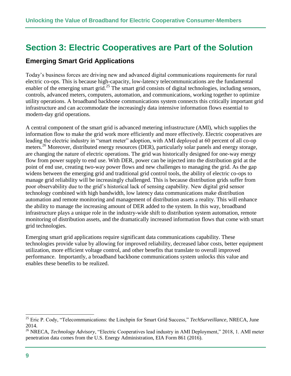## <span id="page-11-0"></span>**Section 3: Electric Cooperatives are Part of the Solution**

## <span id="page-11-1"></span>**Emerging Smart Grid Applications**

Today's business forces are driving new and advanced digital communications requirements for rural electric co-ops. This is because high-capacity, low-latency telecommunications are the fundamental enabler of the emerging smart grid.<sup>25</sup> The smart grid consists of digital technologies, including sensors, controls, advanced meters, computers, automation, and communications, working together to optimize utility operations. A broadband backbone communications system connects this critically important grid infrastructure and can accommodate the increasingly data intensive information flows essential to modern-day grid operations.

A central component of the smart grid is advanced metering infrastructure (AMI), which supplies the information flow to make the grid work more efficiently and more effectively. Electric cooperatives are leading the electric industry in "smart meter" adoption, with AMI deployed at 60 percent of all co-op meters.<sup>26</sup> Moreover, distributed energy resources (DER), particularly solar panels and energy storage, are changing the nature of electric operations. The grid was historically designed for one-way energy flow from power supply to end use. With DER, power can be injected into the distribution grid at the point of end use, creating two-way power flows and new challenges to managing the grid. As the gap widens between the emerging grid and traditional grid control tools, the ability of electric co-ops to manage grid reliability will be increasingly challenged. This is because distribution grids suffer from poor observability due to the grid's historical lack of sensing capability. New digital grid sensor technology combined with high bandwidth, low latency data communications make distribution automation and remote monitoring and management of distribution assets a reality. This will enhance the ability to manage the increasing amount of DER added to the system. In this way, broadband infrastructure plays a unique role in the industry-wide shift to distribution system automation, remote monitoring of distribution assets, and the dramatically increased information flows that come with smart grid technologies.

Emerging smart grid applications require significant data communications capability. These technologies provide value by allowing for improved reliability, decreased labor costs, better equipment utilization, more efficient voltage control, and other benefits that translate to overall improved performance. Importantly, a broadband backbone communications system unlocks this value and enables these benefits to be realized.

<sup>25</sup> Eric P. Cody, "Telecommunications: the Linchpin for Smart Grid Success," *TechSurveillance*, NRECA, June 2014.

<sup>26</sup> NRECA, *Technology Advisory*, "Electric Cooperatives lead industry in AMI Deployment," 2018, 1. AMI meter penetration data comes from the U.S. Energy Administration, EIA Form 861 (2016).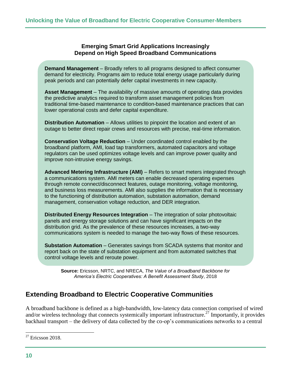**Emerging Smart Grid Applications Increasingly Depend on High Speed Broadband Communications**

**Demand Management** – Broadly refers to all programs designed to affect consumer demand for electricity. Programs aim to reduce total energy usage particularly during peak periods and can potentially defer capital investments in new capacity.

**Asset Management** – The availability of massive amounts of operating data provides the predictive analytics required to transform asset management policies from traditional time-based maintenance to condition-based maintenance practices that can lower operational costs and defer capital expenditure.

**Distribution Automation** – Allows utilities to pinpoint the location and extent of an outage to better direct repair crews and resources with precise, real-time information.

**Conservation Voltage Reduction** – Under coordinated control enabled by the broadband platform, AMI, load tap transformers, automated capacitors and voltage regulators can be used optimizes voltage levels and can improve power quality and improve non-intrusive energy savings.

**Advanced Metering Infrastructure (AMI)** – Refers to smart meters integrated through a communications system. AMI meters can enable decreased operating expenses through remote connect/disconnect features, outage monitoring, voltage monitoring, and business loss measurements. AMI also supplies the information that is necessary to the functioning of distribution automation, substation automation, demand management, conservation voltage reduction, and DER integration.

**Distributed Energy Resources Integration** – The integration of solar photovoltaic panels and energy storage solutions and can have significant impacts on the distribution grid. As the prevalence of these resources increases, a two-way communications system is needed to manage the two-way flows of these resources.

**Substation Automation** – Generates savings from SCADA systems that monitor and report back on the state of substation equipment and from automated switches that control voltage levels and reroute power.

**Source:** Ericsson, NRTC, and NRECA, *The Value of a Broadband Backbone for America's Electric Cooperatives: A Benefit Assessment Study*, 2018

## <span id="page-12-0"></span>**Extending Broadband to Electric Cooperative Communities**

A broadband backbone is defined as a high-bandwidth, low-latency data connection comprised of wired and/or wireless technology that connects systemically important infrastructure.<sup>27</sup> Importantly, it provides backhaul transport – the delivery of data collected by the co-op's communications networks to a central

 $27$  Ericsson 2018.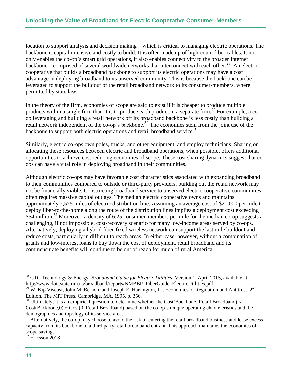location to support analysis and decision making – which is critical to managing electric operations. The backbone is capital intensive and costly to build. It is often made up of high-count fiber cables. It not only enables the co-op's smart grid operations, it also enables connectivity to the broader Internet backbone – comprised of several worldwide networks that interconnect with each other.<sup>28</sup> An electric cooperative that builds a broadband backbone to support its electric operations may have a cost advantage in deploying broadband to its unserved community. This is because the backbone can be leveraged to support the buildout of the retail broadband network to its consumer-members, where permitted by state law.

In the theory of the firm, economies of scope are said to exist if it is cheaper to produce multiple products within a single firm than it is to produce each product in a separate firm.<sup>29</sup> For example, a coop leveraging and building a retail network off its broadband backbone is less costly than building a retail network independent of the co-op's backbone.<sup>30</sup> The economies stem from the joint use of the backbone to support both electric operations and retail broadband service.<sup>31</sup>

Similarly, electric co-ops own poles, trucks, and other equipment, and employ technicians. Sharing or allocating these resources between electric and broadband operations, when possible, offers additional opportunities to achieve cost reducing economies of scope. These cost sharing dynamics suggest that coops can have a vital role in deploying broadband in their communities.

Although electric co-ops may have favorable cost characteristics associated with expanding broadband to their communities compared to outside or third-party providers, building out the retail network may not be financially viable. Constructing broadband service to unserved electric cooperative communities often requires massive capital outlays. The median electric cooperative owns and maintains approximately 2,575 miles of electric distribution line. Assuming an average cost of \$21,000 per mile to deploy fiber-to-the-home along the route of the distribution lines implies a deployment cost exceeding \$54 million.<sup>32</sup> Moreover, a density of 6.25 consumer-members per mile for the median co-op suggests a challenging, if not impossible, cost-recovery scenario for many low-income areas served by co-ops. Alternatively, deploying a hybrid fiber-fixed wireless network can support the last mile buildout and reduce costs, particularly in difficult to reach areas. In either case, however, without a combination of grants and low-interest loans to buy down the cost of deployment, retail broadband and its commensurate benefits will continue to be out of reach for much of rural America.

<sup>28</sup> CTC Technology & Energy, *Broadband Guide for Electric Utilities*, Version 1, April 2015, available at: http://www.doit.state.nm.us/broadband/reports/NMBBP\_FiberGuide\_ElectricUtilities.pdf.

<sup>&</sup>lt;sup>29</sup> W. Kip Viscusi, John M. Bernon, and Joseph E. Harrington, Jr., Economics of Regulation and Antitrust, 2<sup>nd</sup> Edition, The MIT Press, Cambridge, MA, 1995, p. 356.

<sup>&</sup>lt;sup>30</sup> Ultimately, it is an empirical question to determine whether the Cost(Backbone, Retail Broadband) < Cost(Backbone,0) + Cost(0, Retail Broadband) based on the co-op's unique operating characteristics and the demographics and topology of its service area.

 $31$  Alternatively, the co-op may choose to avoid the risk of entering the retail broadband business and lease excess capacity from its backbone to a third party retail broadband entrant. This approach maintains the economies of scope savings.

 $32$  Ericsson 2018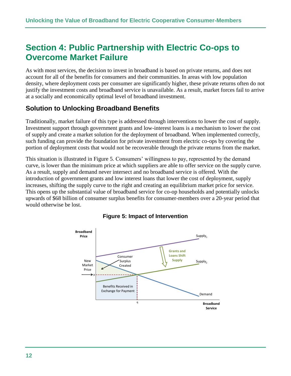# <span id="page-14-0"></span>**Section 4: Public Partnership with Electric Co-ops to Overcome Market Failure**

As with most services, the decision to invest in broadband is based on private returns, and does not account for all of the benefits for consumers and their communities. In areas with low population density, where deployment costs per consumer are significantly higher, these private returns often do not justify the investment costs and broadband service is unavailable. As a result, market forces fail to arrive at a socially and economically optimal level of broadband investment.

## <span id="page-14-1"></span>**Solution to Unlocking Broadband Benefits**

Traditionally, market failure of this type is addressed through interventions to lower the cost of supply. Investment support through government grants and low-interest loans is a mechanism to lower the cost of supply and create a market solution for the deployment of broadband. When implemented correctly, such funding can provide the foundation for private investment from electric co-ops by covering the portion of deployment costs that would not be recoverable through the private returns from the market.

This situation is illustrated in Figure 5. Consumers' willingness to pay, represented by the demand curve, is lower than the minimum price at which suppliers are able to offer service on the supply curve. As a result, supply and demand never intersect and no broadband service is offered. With the introduction of government grants and low interest loans that lower the cost of deployment, supply increases, shifting the supply curve to the right and creating an equilibrium market price for service. This opens up the substantial value of broadband service for co-op households and potentially unlocks upwards of \$68 billion of consumer surplus benefits for consumer-members over a 20-year period that would otherwise be lost.



#### **Figure 5: Impact of Intervention**